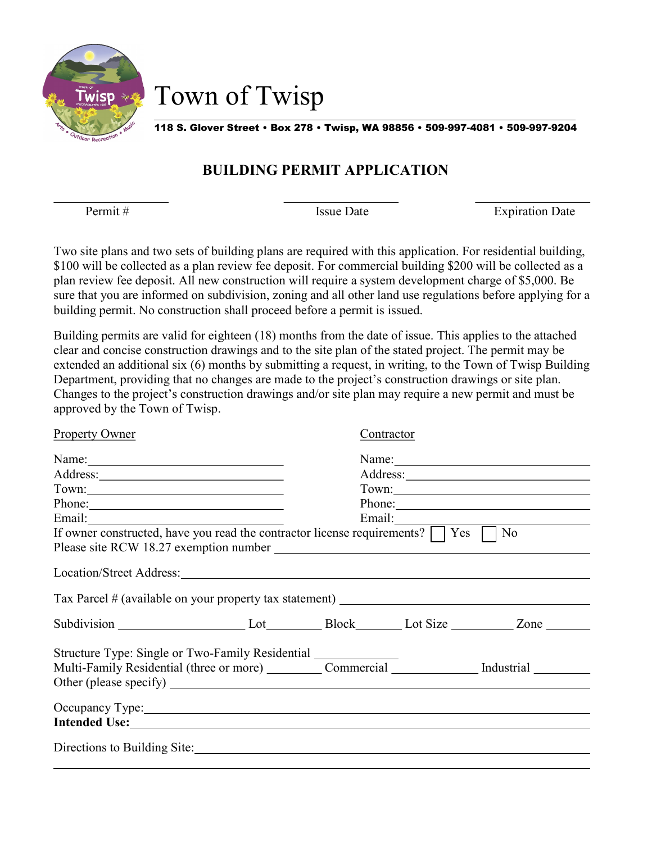

Town of Twisp

118 S. Glover Street • Box 278 • Twisp, WA 98856 • 509-997-4081 • 509-997-9204

### BUILDING PERMIT APPLICATION

 $\overline{a}$ 

l

Permit # Issue Date Issue Date Expiration Date

Two site plans and two sets of building plans are required with this application. For residential building, \$100 will be collected as a plan review fee deposit. For commercial building \$200 will be collected as a plan review fee deposit. All new construction will require a system development charge of \$5,000. Be sure that you are informed on subdivision, zoning and all other land use regulations before applying for a building permit. No construction shall proceed before a permit is issued.

Building permits are valid for eighteen (18) months from the date of issue. This applies to the attached clear and concise construction drawings and to the site plan of the stated project. The permit may be extended an additional six (6) months by submitting a request, in writing, to the Town of Twisp Building Department, providing that no changes are made to the project's construction drawings or site plan. Changes to the project's construction drawings and/or site plan may require a new permit and must be approved by the Town of Twisp.

| <b>Property Owner</b>                                                                                                                                                                                                          | Contractor  |  |       |
|--------------------------------------------------------------------------------------------------------------------------------------------------------------------------------------------------------------------------------|-------------|--|-------|
| Name:                                                                                                                                                                                                                          |             |  | Name: |
|                                                                                                                                                                                                                                |             |  |       |
|                                                                                                                                                                                                                                | Town: Town: |  |       |
| Phone:                                                                                                                                                                                                                         | Phone:      |  |       |
|                                                                                                                                                                                                                                |             |  |       |
| If owner constructed, have you read the contractor license requirements? $\Box$ Yes $\Box$ No                                                                                                                                  |             |  |       |
| Location/Street Address: 2008. 2009. 2010. 2010. 2010. 2010. 2010. 2010. 2010. 2010. 2010. 2010. 2010. 2010. 2010. 2010. 2010. 2010. 2010. 2010. 2010. 2010. 2010. 2010. 2010. 2010. 2010. 2010. 2010. 2010. 2010. 2010. 2010. |             |  |       |
| Tax Parcel # (available on your property tax statement) _________________________                                                                                                                                              |             |  |       |
| Subdivision Lot Lot Block Lot Size Zone                                                                                                                                                                                        |             |  |       |
|                                                                                                                                                                                                                                |             |  |       |
|                                                                                                                                                                                                                                |             |  |       |
| Occupancy Type: New York: New York: New York: New York: New York: New York: New York: New York: New York: New York: New York: New York: New York: New York: New York: New York: New York: New York: New York: New York: New Yo |             |  |       |
| Intended Use: No. 1996. The Contract of the Contract of the Contract of the Contract of the Contract of the Contract of the Contract of the Contract of the Contract of the Contract of the Contract of the Contract of the Co |             |  |       |
| Directions to Building Site:                                                                                                                                                                                                   |             |  |       |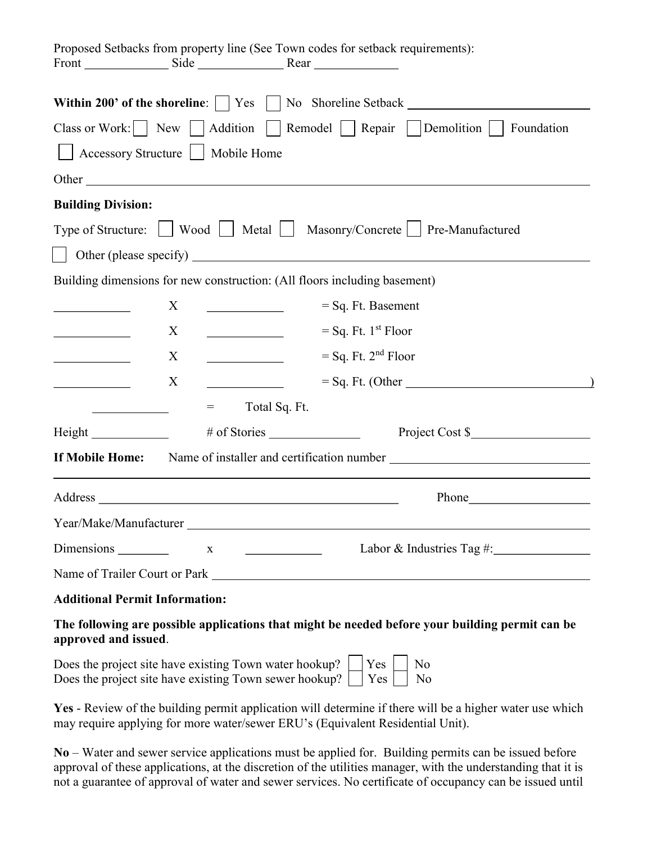|                                                                                                                                                                                                                                |              |               | Proposed Setbacks from property line (See Town codes for setback requirements): |
|--------------------------------------------------------------------------------------------------------------------------------------------------------------------------------------------------------------------------------|--------------|---------------|---------------------------------------------------------------------------------|
|                                                                                                                                                                                                                                |              |               |                                                                                 |
| Class or Work: $\Box$ New $\Box$ Addition $\Box$ Remodel $\Box$ Repair $\Box$ Demolition $\Box$<br>Foundation                                                                                                                  |              |               |                                                                                 |
| $\Box$ Accessory Structure $\Box$ Mobile Home                                                                                                                                                                                  |              |               |                                                                                 |
| Other                                                                                                                                                                                                                          |              |               |                                                                                 |
| <b>Building Division:</b>                                                                                                                                                                                                      |              |               |                                                                                 |
|                                                                                                                                                                                                                                |              |               | Type of Structure: Wood   Metal   Masonry/Concrete   Pre-Manufactured           |
|                                                                                                                                                                                                                                |              |               |                                                                                 |
|                                                                                                                                                                                                                                |              |               | Building dimensions for new construction: (All floors including basement)       |
|                                                                                                                                                                                                                                | X            |               | $=$ Sq. Ft. Basement                                                            |
|                                                                                                                                                                                                                                | X            |               | $=$ Sq. Ft. 1st Floor                                                           |
|                                                                                                                                                                                                                                | X            |               | $=$ Sq. Ft. 2 <sup>nd</sup> Floor                                               |
|                                                                                                                                                                                                                                | X            |               | $=$ Sq. Ft. (Other                                                              |
|                                                                                                                                                                                                                                | $=$          | Total Sq. Ft. |                                                                                 |
|                                                                                                                                                                                                                                |              |               |                                                                                 |
| If Mobile Home:                                                                                                                                                                                                                |              |               |                                                                                 |
| Address and the contract of the contract of the contract of the contract of the contract of the contract of the contract of the contract of the contract of the contract of the contract of the contract of the contract of th |              |               | <b>Phone</b> Phone                                                              |
|                                                                                                                                                                                                                                |              |               | Year/Make/Manufacturer                                                          |
|                                                                                                                                                                                                                                | $\mathbf{X}$ |               | Labor & Industries Tag #:                                                       |
|                                                                                                                                                                                                                                |              |               |                                                                                 |
| <b>Additional Permit Information:</b>                                                                                                                                                                                          |              |               |                                                                                 |

The following are possible applications that might be needed before your building permit can be approved and issued.

| Does the project site have existing Town water hookup? $\Box$ Yes $\Box$ No               |  |  |
|-------------------------------------------------------------------------------------------|--|--|
| Does the project site have existing Town sewer hookup? $\vert \vert$ Yes $\vert \vert$ No |  |  |

Yes - Review of the building permit application will determine if there will be a higher water use which may require applying for more water/sewer ERU's (Equivalent Residential Unit).

No – Water and sewer service applications must be applied for. Building permits can be issued before approval of these applications, at the discretion of the utilities manager, with the understanding that it is not a guarantee of approval of water and sewer services. No certificate of occupancy can be issued until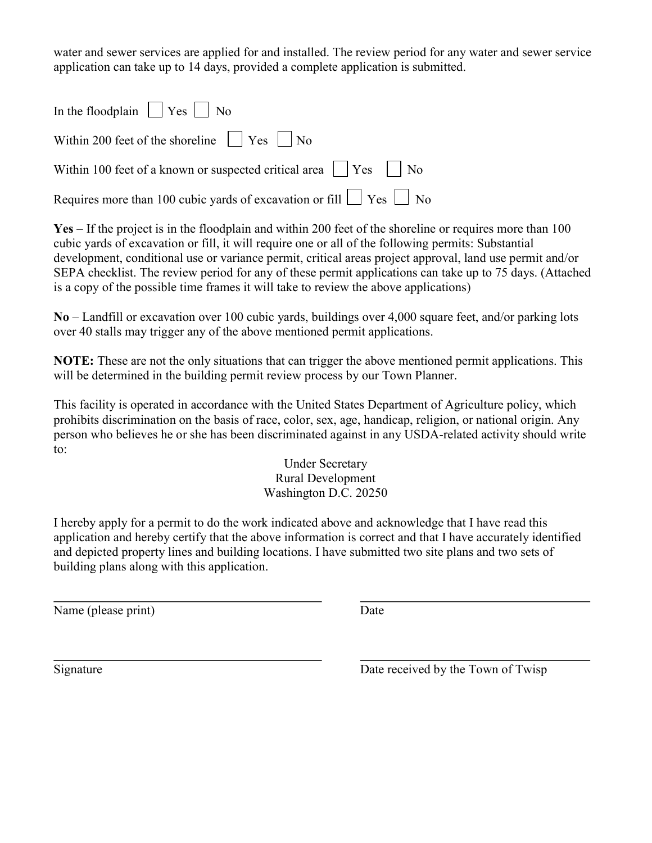water and sewer services are applied for and installed. The review period for any water and sewer service application can take up to 14 days, provided a complete application is submitted.

| In the floodplain $\Box$ Yes $\Box$ No                                        |
|-------------------------------------------------------------------------------|
| Within 200 feet of the shoreline $\Box$ Yes $\Box$ No                         |
| Within 100 feet of a known or suspected critical area $\Box$ Yes $\Box$ No    |
| Requires more than 100 cubic yards of excavation or fill $\Box$ Yes $\Box$ No |

Yes – If the project is in the floodplain and within 200 feet of the shoreline or requires more than 100 cubic yards of excavation or fill, it will require one or all of the following permits: Substantial development, conditional use or variance permit, critical areas project approval, land use permit and/or SEPA checklist. The review period for any of these permit applications can take up to 75 days. (Attached is a copy of the possible time frames it will take to review the above applications)

No – Landfill or excavation over 100 cubic yards, buildings over 4,000 square feet, and/or parking lots over 40 stalls may trigger any of the above mentioned permit applications.

NOTE: These are not the only situations that can trigger the above mentioned permit applications. This will be determined in the building permit review process by our Town Planner.

This facility is operated in accordance with the United States Department of Agriculture policy, which prohibits discrimination on the basis of race, color, sex, age, handicap, religion, or national origin. Any person who believes he or she has been discriminated against in any USDA-related activity should write to:

> Under Secretary Rural Development Washington D.C. 20250

I hereby apply for a permit to do the work indicated above and acknowledge that I have read this application and hereby certify that the above information is correct and that I have accurately identified and depicted property lines and building locations. I have submitted two site plans and two sets of building plans along with this application.

Name (please print) Date

 $\overline{a}$ 

Signature Date received by the Town of Twisp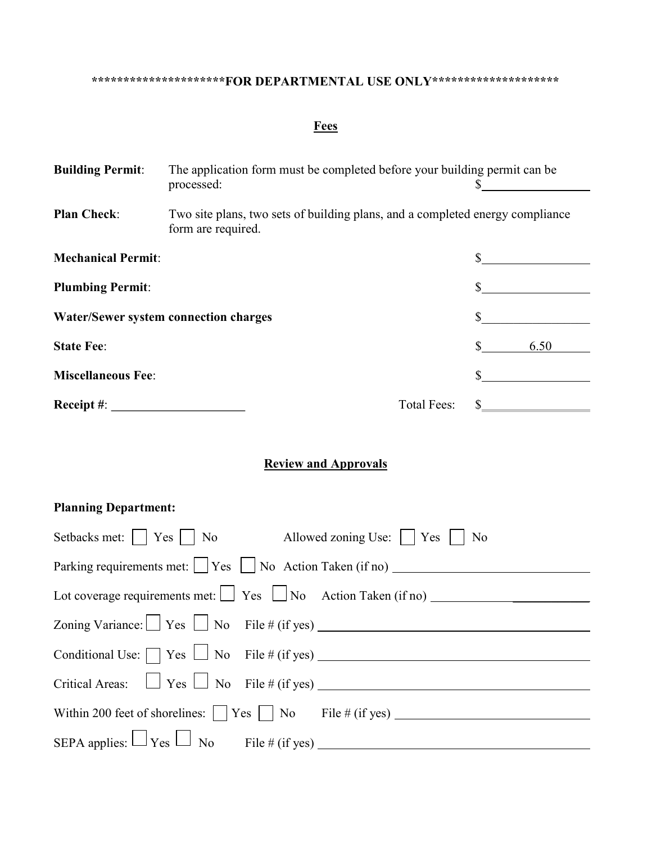# \*\*\*\*\*\*\*\*\*\*\*\*\*\*\*\*\*\*\*\*\*\*FOR DEPARTMENTAL USE ONLY\*\*\*\*\*\*\*\*\*\*\*\*\*\*\*\*\*\*\*\*\*\*\*\*\*\*\*\*\*\*\*\*\*

#### **Fees**

| <b>Building Permit:</b>                      | The application form must be completed before your building permit can be<br>processed:             |                    |      |
|----------------------------------------------|-----------------------------------------------------------------------------------------------------|--------------------|------|
| <b>Plan Check:</b>                           | Two site plans, two sets of building plans, and a completed energy compliance<br>form are required. |                    |      |
| <b>Mechanical Permit:</b>                    |                                                                                                     |                    |      |
| <b>Plumbing Permit:</b>                      |                                                                                                     |                    |      |
| <b>Water/Sewer system connection charges</b> |                                                                                                     |                    |      |
| <b>State Fee:</b>                            |                                                                                                     |                    | 6.50 |
| <b>Miscellaneous Fee:</b>                    |                                                                                                     |                    |      |
| $\bf{Receipt}$ #:                            |                                                                                                     | <b>Total Fees:</b> |      |

#### Review and Approvals

## Planning Department:

| Setbacks met: $\Box$ Yes $\Box$ No Allowed zoning Use: $\Box$ Yes $\Box$ No |
|-----------------------------------------------------------------------------|
| Parking requirements met: $\Box$ Yes $\Box$ No Action Taken (if no) $\Box$  |
|                                                                             |
|                                                                             |
|                                                                             |
|                                                                             |
|                                                                             |
|                                                                             |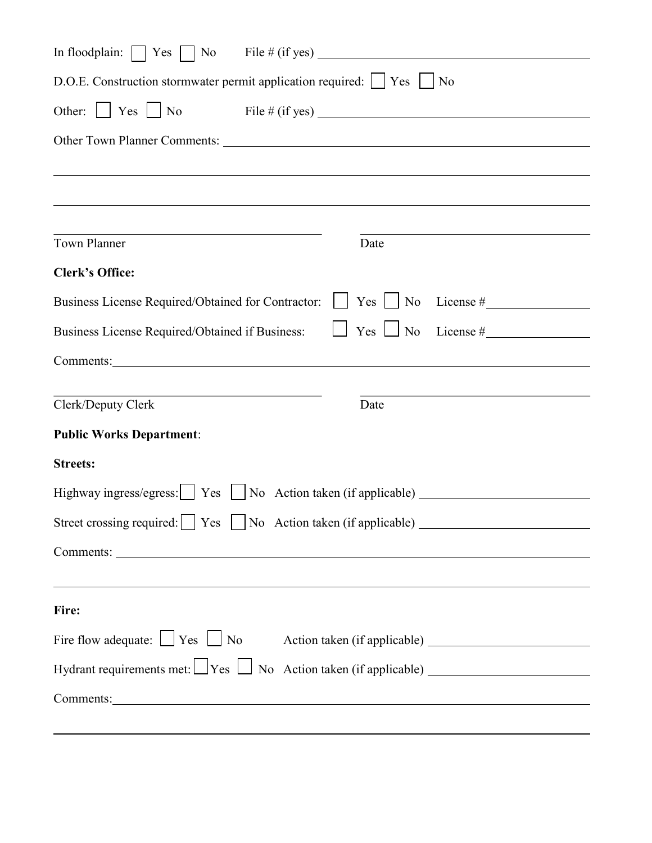| D.O.E. Construction stormwater permit application required:   Yes   No                                                                                                                                                         |                                |  |  |
|--------------------------------------------------------------------------------------------------------------------------------------------------------------------------------------------------------------------------------|--------------------------------|--|--|
| Other: $\Box$ Yes $\Box$ No File # (if yes)                                                                                                                                                                                    |                                |  |  |
|                                                                                                                                                                                                                                |                                |  |  |
|                                                                                                                                                                                                                                |                                |  |  |
|                                                                                                                                                                                                                                |                                |  |  |
|                                                                                                                                                                                                                                |                                |  |  |
| <b>Town Planner</b>                                                                                                                                                                                                            | Date                           |  |  |
| <b>Clerk's Office:</b>                                                                                                                                                                                                         |                                |  |  |
| Business License Required/Obtained for Contractor: $\Box$ Yes $\Box$ No License #                                                                                                                                              |                                |  |  |
| Business License Required/Obtained if Business:                                                                                                                                                                                | $\Box$ Yes $\Box$ No License # |  |  |
| Comments: Comments:                                                                                                                                                                                                            |                                |  |  |
|                                                                                                                                                                                                                                |                                |  |  |
| Clerk/Deputy Clerk                                                                                                                                                                                                             | Date                           |  |  |
| <b>Public Works Department:</b>                                                                                                                                                                                                |                                |  |  |
| <b>Streets:</b>                                                                                                                                                                                                                |                                |  |  |
| Highway ingress/egress:     Yes     No Action taken (if applicable)                                                                                                                                                            |                                |  |  |
| Street crossing required: Yes No Action taken (if applicable)                                                                                                                                                                  |                                |  |  |
|                                                                                                                                                                                                                                |                                |  |  |
| <u> 1989 - Johann Harry Barn, mars ar brenin beskriuwer yn de ferfinning yn de ferfinning yn de ferfinning yn de</u>                                                                                                           |                                |  |  |
| Fire:                                                                                                                                                                                                                          |                                |  |  |
| Fire flow adequate: $\Box$ Yes $\Box$ No Action taken (if applicable) $\Box$                                                                                                                                                   |                                |  |  |
| Hydrant requirements met: $\Box$ Yes $\Box$ No Action taken (if applicable) $\Box$                                                                                                                                             |                                |  |  |
| Comments: Note and the comments of the comments of the comments of the comments of the comments of the comments of the comments of the comments of the comments of the comments of the comments of the comments of the comment |                                |  |  |
|                                                                                                                                                                                                                                |                                |  |  |